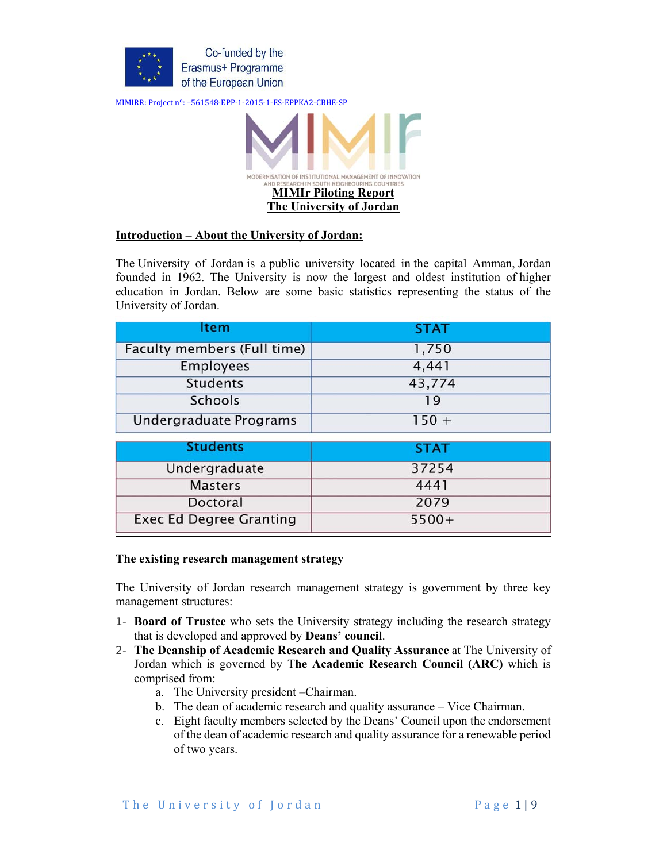



### **Introduction – About the University of Jordan:**

The University of Jordan is a public university located in the capital Amman, Jordan founded in 1962. The University is now the largest and oldest institution of higher education in Jordan. Below are some basic statistics representing the status of the University of Jordan.

| Item                               | <b>STAT</b> |
|------------------------------------|-------------|
| <b>Faculty members (Full time)</b> | 1,750       |
| <b>Employees</b>                   | 4,441       |
| <b>Students</b>                    | 43,774      |
| <b>Schools</b>                     | 19          |
| Undergraduate Programs             | $150 +$     |
| <b>Students</b>                    | <b>STAT</b> |
| Undergraduate                      | 37254       |
| <b>Masters</b>                     | 4441        |
| Doctoral                           | 2079        |
| <b>Exec Ed Degree Granting</b>     | $5500+$     |

#### **The existing research management strategy**

The University of Jordan research management strategy is government by three key management structures:

- 1- **Board of Trustee** who sets the University strategy including the research strategy that is developed and approved by **Deans' council**.
- 2- **The Deanship of Academic Research and Quality Assurance** at The University of Jordan which is governed by T**he Academic Research Council (ARC)** which is comprised from:
	- a. The University president –Chairman.
	- b. The dean of academic research and quality assurance Vice Chairman.
	- c. Eight faculty members selected by the Deans' Council upon the endorsement of the dean of academic research and quality assurance for a renewable period of two years.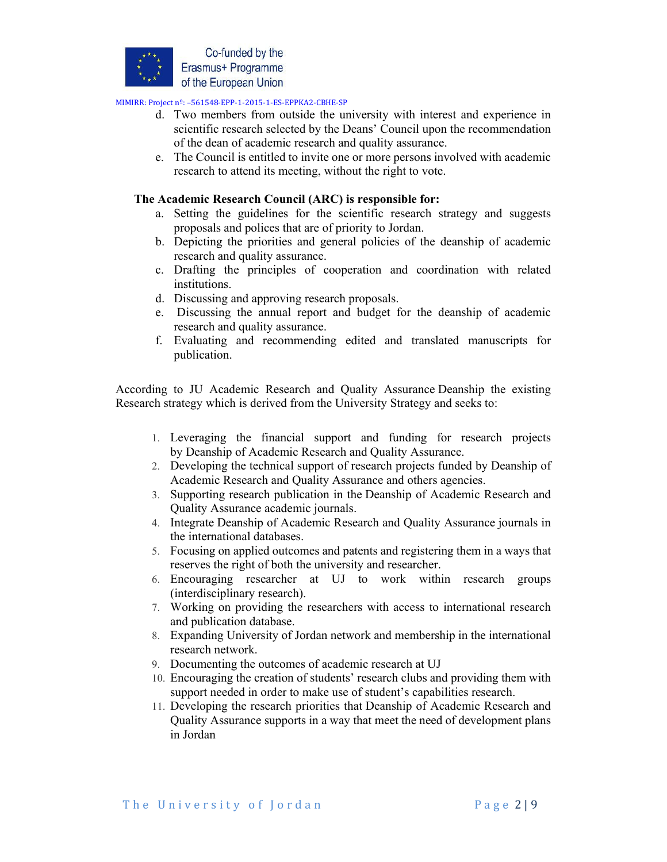

- d. Two members from outside the university with interest and experience in scientific research selected by the Deans' Council upon the recommendation of the dean of academic research and quality assurance.
- e. The Council is entitled to invite one or more persons involved with academic research to attend its meeting, without the right to vote.

# **The Academic Research Council (ARC) is responsible for:**

- a. Setting the guidelines for the scientific research strategy and suggests proposals and polices that are of priority to Jordan.
- b. Depicting the priorities and general policies of the deanship of academic research and quality assurance.
- c. Drafting the principles of cooperation and coordination with related institutions.
- d. Discussing and approving research proposals.
- e. Discussing the annual report and budget for the deanship of academic research and quality assurance.
- f. Evaluating and recommending edited and translated manuscripts for publication.

According to JU Academic Research and Quality Assurance Deanship the existing Research strategy which is derived from the University Strategy and seeks to:

- 1. Leveraging the financial support and funding for research projects by Deanship of Academic Research and Quality Assurance.
- 2. Developing the technical support of research projects funded by Deanship of Academic Research and Quality Assurance and others agencies.
- 3. Supporting research publication in the Deanship of Academic Research and Quality Assurance academic journals.
- 4. Integrate Deanship of Academic Research and Quality Assurance journals in the international databases.
- 5. Focusing on applied outcomes and patents and registering them in a ways that reserves the right of both the university and researcher.
- 6. Encouraging researcher at UJ to work within research groups (interdisciplinary research).
- 7. Working on providing the researchers with access to international research and publication database.
- 8. Expanding University of Jordan network and membership in the international research network.
- 9. Documenting the outcomes of academic research at UJ
- 10. Encouraging the creation of students' research clubs and providing them with support needed in order to make use of student's capabilities research.
- 11. Developing the research priorities that Deanship of Academic Research and Quality Assurance supports in a way that meet the need of development plans in Jordan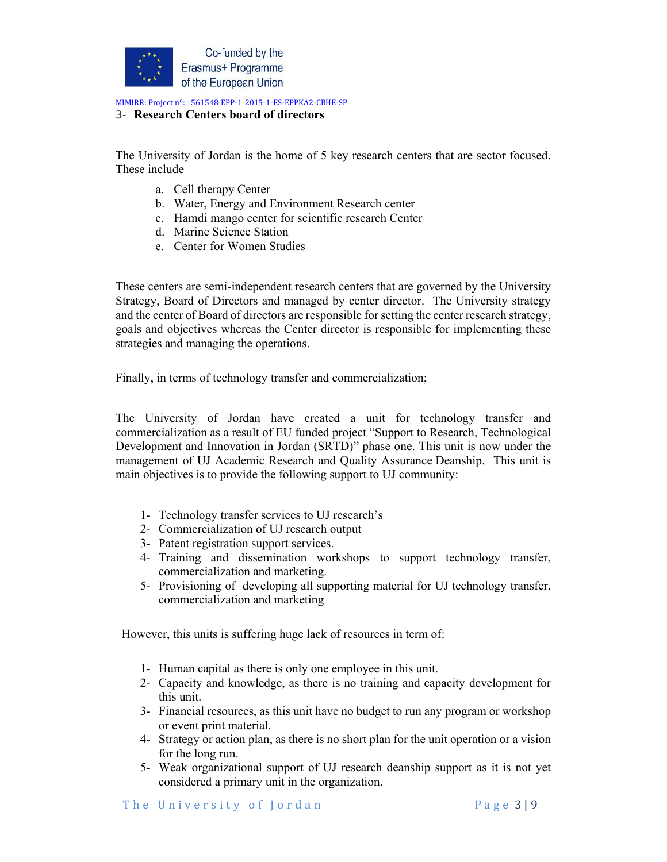

#### 3- **Research Centers board of directors**

The University of Jordan is the home of 5 key research centers that are sector focused. These include

- a. Cell therapy Center
- b. Water, Energy and Environment Research center
- c. Hamdi mango center for scientific research Center
- d. Marine Science Station
- e. Center for Women Studies

These centers are semi-independent research centers that are governed by the University Strategy, Board of Directors and managed by center director. The University strategy and the center of Board of directors are responsible for setting the center research strategy, goals and objectives whereas the Center director is responsible for implementing these strategies and managing the operations.

Finally, in terms of technology transfer and commercialization;

The University of Jordan have created a unit for technology transfer and commercialization as a result of EU funded project "Support to Research, Technological Development and Innovation in Jordan (SRTD)" phase one. This unit is now under the management of UJ Academic Research and Quality Assurance Deanship. This unit is main objectives is to provide the following support to UJ community:

- 1- Technology transfer services to UJ research's
- 2- Commercialization of UJ research output
- 3- Patent registration support services.
- 4- Training and dissemination workshops to support technology transfer, commercialization and marketing.
- 5- Provisioning of developing all supporting material for UJ technology transfer, commercialization and marketing

However, this units is suffering huge lack of resources in term of:

- 1- Human capital as there is only one employee in this unit.
- 2- Capacity and knowledge, as there is no training and capacity development for this unit.
- 3- Financial resources, as this unit have no budget to run any program or workshop or event print material.
- 4- Strategy or action plan, as there is no short plan for the unit operation or a vision for the long run.
- 5- Weak organizational support of UJ research deanship support as it is not yet considered a primary unit in the organization.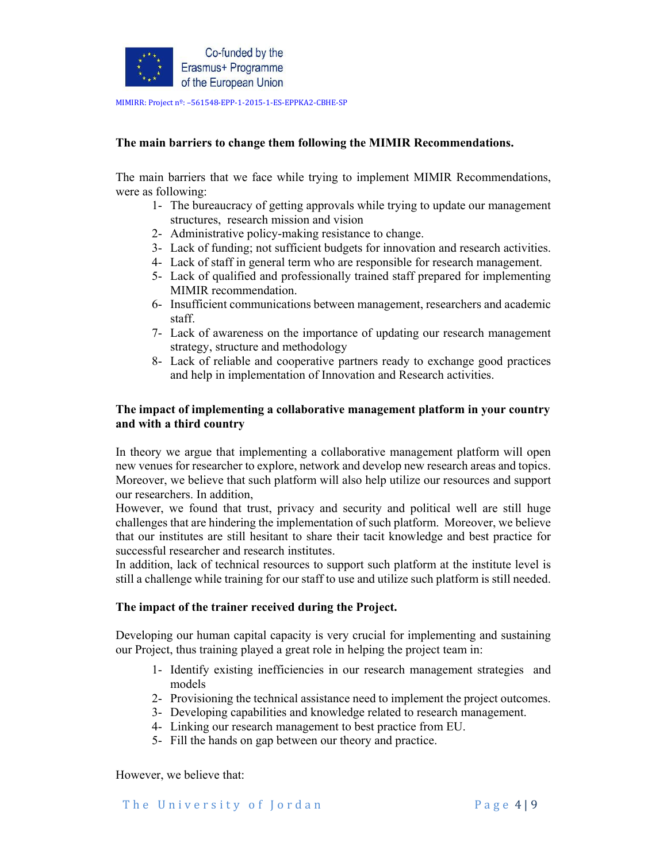

# **The main barriers to change them following the MIMIR Recommendations.**

The main barriers that we face while trying to implement MIMIR Recommendations, were as following:

- 1- The bureaucracy of getting approvals while trying to update our management structures, research mission and vision
- 2- Administrative policy-making resistance to change.
- 3- Lack of funding; not sufficient budgets for innovation and research activities.
- 4- Lack of staff in general term who are responsible for research management.
- 5- Lack of qualified and professionally trained staff prepared for implementing MIMIR recommendation.
- 6- Insufficient communications between management, researchers and academic staff.
- 7- Lack of awareness on the importance of updating our research management strategy, structure and methodology
- 8- Lack of reliable and cooperative partners ready to exchange good practices and help in implementation of Innovation and Research activities.

# **The impact of implementing a collaborative management platform in your country and with a third country**

In theory we argue that implementing a collaborative management platform will open new venues for researcher to explore, network and develop new research areas and topics. Moreover, we believe that such platform will also help utilize our resources and support our researchers. In addition,

However, we found that trust, privacy and security and political well are still huge challenges that are hindering the implementation of such platform. Moreover, we believe that our institutes are still hesitant to share their tacit knowledge and best practice for successful researcher and research institutes.

In addition, lack of technical resources to support such platform at the institute level is still a challenge while training for our staff to use and utilize such platform is still needed.

### **The impact of the trainer received during the Project.**

Developing our human capital capacity is very crucial for implementing and sustaining our Project, thus training played a great role in helping the project team in:

- 1- Identify existing inefficiencies in our research management strategies and models
- 2- Provisioning the technical assistance need to implement the project outcomes.
- 3- Developing capabilities and knowledge related to research management.
- 4- Linking our research management to best practice from EU.
- 5- Fill the hands on gap between our theory and practice.

However, we believe that: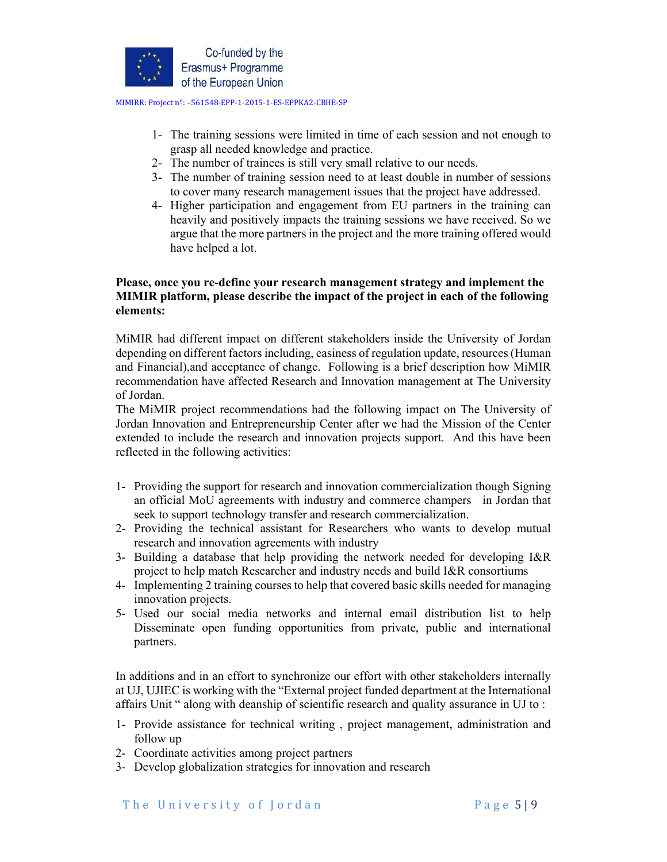

- 1- The training sessions were limited in time of each session and not enough to grasp all needed knowledge and practice.
- 2- The number of trainees is still very small relative to our needs.
- 3- The number of training session need to at least double in number of sessions to cover many research management issues that the project have addressed.
- 4- Higher participation and engagement from EU partners in the training can heavily and positively impacts the training sessions we have received. So we argue that the more partners in the project and the more training offered would have helped a lot.

# **Please, once you re-define your research management strategy and implement the MIMIR platform, please describe the impact of the project in each of the following elements:**

MiMIR had different impact on different stakeholders inside the University of Jordan depending on different factors including, easiness of regulation update, resources (Human and Financial),and acceptance of change. Following is a brief description how MiMIR recommendation have affected Research and Innovation management at The University of Jordan.

The MiMIR project recommendations had the following impact on The University of Jordan Innovation and Entrepreneurship Center after we had the Mission of the Center extended to include the research and innovation projects support. And this have been reflected in the following activities:

- 1- Providing the support for research and innovation commercialization though Signing an official MoU agreements with industry and commerce champers in Jordan that seek to support technology transfer and research commercialization.
- 2- Providing the technical assistant for Researchers who wants to develop mutual research and innovation agreements with industry
- 3- Building a database that help providing the network needed for developing I&R project to help match Researcher and industry needs and build I&R consortiums
- 4- Implementing 2 training courses to help that covered basic skills needed for managing innovation projects.
- 5- Used our social media networks and internal email distribution list to help Disseminate open funding opportunities from private, public and international partners.

In additions and in an effort to synchronize our effort with other stakeholders internally at UJ, UJIEC is working with the "External project funded department at the International affairs Unit " along with deanship of scientific research and quality assurance in UJ to :

- 1- Provide assistance for technical writing , project management, administration and follow up
- 2- Coordinate activities among project partners
- 3- Develop globalization strategies for innovation and research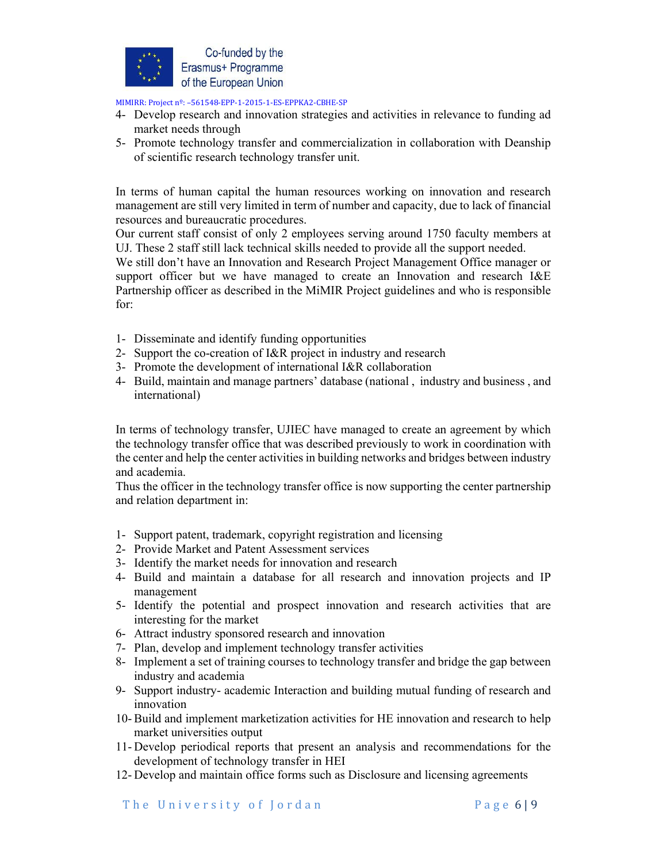

- 4- Develop research and innovation strategies and activities in relevance to funding ad market needs through
- 5- Promote technology transfer and commercialization in collaboration with Deanship of scientific research technology transfer unit.

In terms of human capital the human resources working on innovation and research management are still very limited in term of number and capacity, due to lack of financial resources and bureaucratic procedures.

Our current staff consist of only 2 employees serving around 1750 faculty members at UJ. These 2 staff still lack technical skills needed to provide all the support needed.

We still don't have an Innovation and Research Project Management Office manager or support officer but we have managed to create an Innovation and research I&E Partnership officer as described in the MiMIR Project guidelines and who is responsible for:

- 1- Disseminate and identify funding opportunities
- 2- Support the co-creation of I&R project in industry and research
- 3- Promote the development of international I&R collaboration
- 4- Build, maintain and manage partners' database (national , industry and business , and international)

In terms of technology transfer, UJIEC have managed to create an agreement by which the technology transfer office that was described previously to work in coordination with the center and help the center activities in building networks and bridges between industry and academia.

Thus the officer in the technology transfer office is now supporting the center partnership and relation department in:

- 1- Support patent, trademark, copyright registration and licensing
- 2- Provide Market and Patent Assessment services
- 3- Identify the market needs for innovation and research
- 4- Build and maintain a database for all research and innovation projects and IP management
- 5- Identify the potential and prospect innovation and research activities that are interesting for the market
- 6- Attract industry sponsored research and innovation
- 7- Plan, develop and implement technology transfer activities
- 8- Implement a set of training courses to technology transfer and bridge the gap between industry and academia
- 9- Support industry- academic Interaction and building mutual funding of research and innovation
- 10-Build and implement marketization activities for HE innovation and research to help market universities output
- 11- Develop periodical reports that present an analysis and recommendations for the development of technology transfer in HEI
- 12- Develop and maintain office forms such as Disclosure and licensing agreements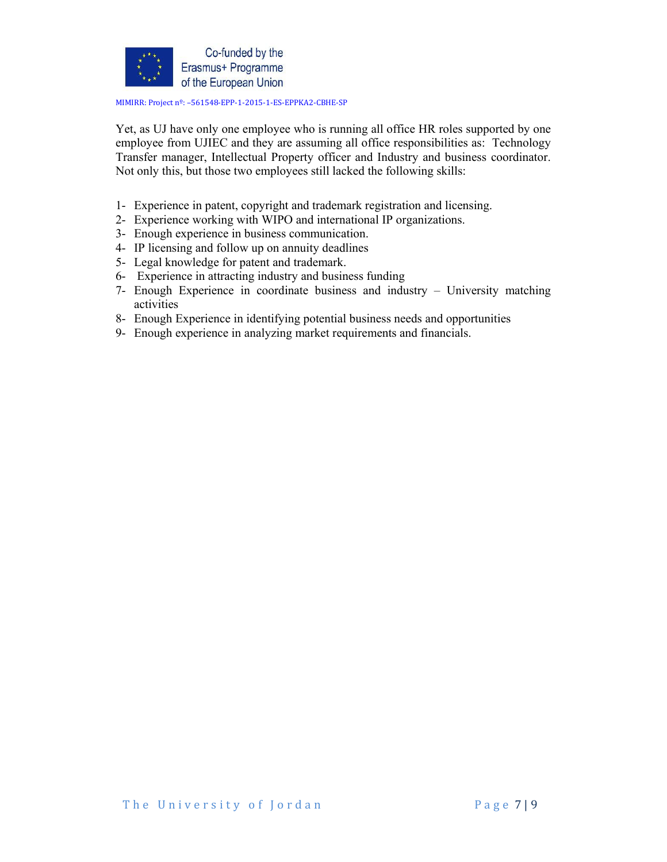

Yet, as UJ have only one employee who is running all office HR roles supported by one employee from UJIEC and they are assuming all office responsibilities as: Technology Transfer manager, Intellectual Property officer and Industry and business coordinator. Not only this, but those two employees still lacked the following skills:

- 1- Experience in patent, copyright and trademark registration and licensing.
- 2- Experience working with WIPO and international IP organizations.
- 3- Enough experience in business communication.
- 4- IP licensing and follow up on annuity deadlines
- 5- Legal knowledge for patent and trademark.
- 6- Experience in attracting industry and business funding
- 7- Enough Experience in coordinate business and industry University matching activities
- 8- Enough Experience in identifying potential business needs and opportunities
- 9- Enough experience in analyzing market requirements and financials.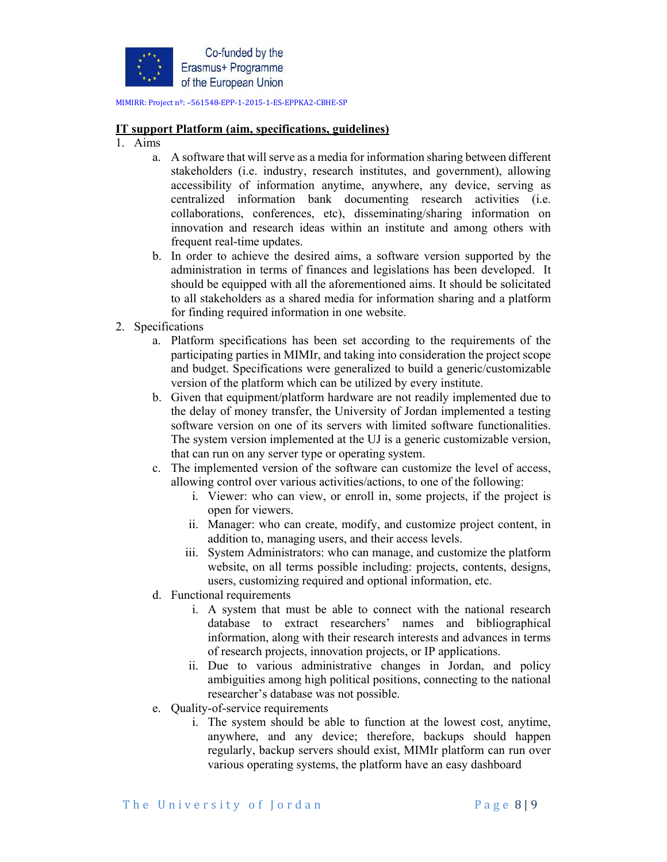

#### **IT support Platform (aim, specifications, guidelines)**

- 1. Aims
	- a. A software that will serve as a media for information sharing between different stakeholders (i.e. industry, research institutes, and government), allowing accessibility of information anytime, anywhere, any device, serving as centralized information bank documenting research activities (i.e. collaborations, conferences, etc), disseminating/sharing information on innovation and research ideas within an institute and among others with frequent real-time updates.
	- b. In order to achieve the desired aims, a software version supported by the administration in terms of finances and legislations has been developed. It should be equipped with all the aforementioned aims. It should be solicitated to all stakeholders as a shared media for information sharing and a platform for finding required information in one website.
- 2. Specifications
	- a. Platform specifications has been set according to the requirements of the participating parties in MIMIr, and taking into consideration the project scope and budget. Specifications were generalized to build a generic/customizable version of the platform which can be utilized by every institute.
	- b. Given that equipment/platform hardware are not readily implemented due to the delay of money transfer, the University of Jordan implemented a testing software version on one of its servers with limited software functionalities. The system version implemented at the UJ is a generic customizable version, that can run on any server type or operating system.
	- c. The implemented version of the software can customize the level of access, allowing control over various activities/actions, to one of the following:
		- i. Viewer: who can view, or enroll in, some projects, if the project is open for viewers.
		- ii. Manager: who can create, modify, and customize project content, in addition to, managing users, and their access levels.
		- iii. System Administrators: who can manage, and customize the platform website, on all terms possible including: projects, contents, designs, users, customizing required and optional information, etc.
	- d. Functional requirements
		- i. A system that must be able to connect with the national research database to extract researchers' names and bibliographical information, along with their research interests and advances in terms of research projects, innovation projects, or IP applications.
		- ii. Due to various administrative changes in Jordan, and policy ambiguities among high political positions, connecting to the national researcher's database was not possible.
	- e. Quality-of-service requirements
		- i. The system should be able to function at the lowest cost, anytime, anywhere, and any device; therefore, backups should happen regularly, backup servers should exist, MIMIr platform can run over various operating systems, the platform have an easy dashboard